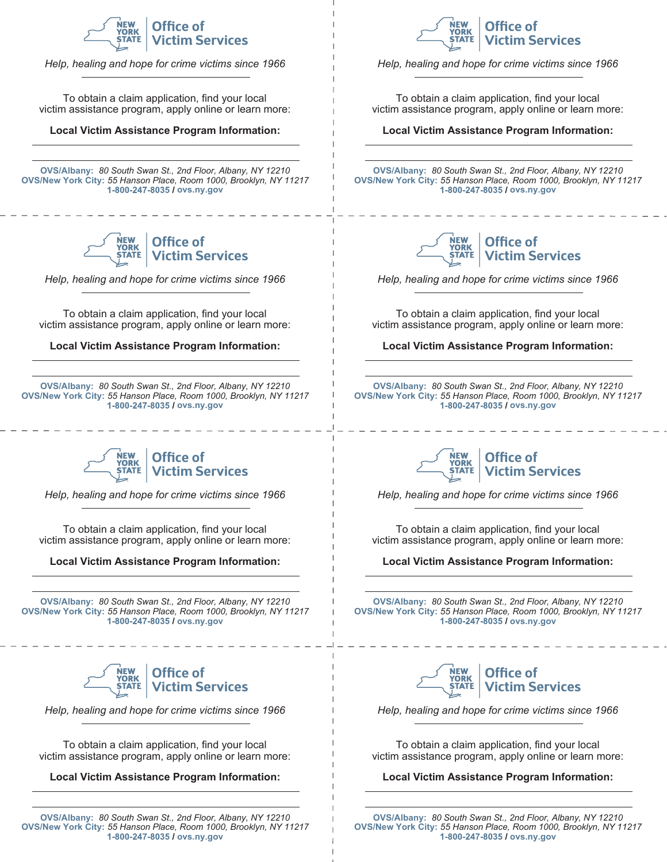

*Help, healing and hope for crime victims since 1966*

To obtain a claim application, find your local victim assistance program, apply online or learn more:

#### **Local Victim Assistance Program Information:**

**OVS/Albany:** *80 South Swan St., 2nd Floor, Albany, NY 12210* **OVS/New York City:** *55 Hanson Place, Room 1000, Brooklyn, NY 11217* 1-800-247-8035 / ovs.ny.gov



*Help, healing and hope for crime victims since 1966*

To obtain a claim application, find your local victim assistance program, apply online or learn more:

**Local Victim Assistance Program Information:**

**OVS/Albany:** *80 South Swan St., 2nd Floor, Albany, NY 12210* **OVS/New York City:** *55 Hanson Place, Room 1000, Brooklyn, NY 11217* **ovs.ny.gov**



*Help, healing and hope for crime victims since 1966*

To obtain a claim application, find your local victim assistance program, apply online or learn more:

**Local Victim Assistance Program Information:**

**OVS/Albany:** *80 South Swan St., 2nd Floor, Albany, NY 12210* **OVS/New York City:** *55 Hanson Place, Room 1000, Brooklyn, NY 11217* 1-800-247-8035 / ovs.ny.gov



*Help, healing and hope for crime victims since 1966*

To obtain a claim application, find your local victim assistance program, apply online or learn more:

**Local Victim Assistance Program Information:**

**OVS/Albany:** *80 South Swan St., 2nd Floor, Albany, NY 12210* **OVS/New York City:** *55 Hanson Place, Room 1000, Brooklyn, NY 11217* **ovs.ny.gov**



*Help, healing and hope for crime victims since 1966*

To obtain a claim application, find your local victim assistance program, apply online or learn more:

#### **Local Victim Assistance Program Information:**

**OVS/Albany:** *80 South Swan St., 2nd Floor, Albany, NY 12210* **OVS/New York City:** *55 Hanson Place, Room 1000, Brooklyn, NY 11217* **ovs.ny.gov**



*Help, healing and hope for crime victims since 1966*

To obtain a claim application, find your local victim assistance program, apply online or learn more:

**Local Victim Assistance Program Information:**

**OVS/Albany:** *80 South Swan St., 2nd Floor, Albany, NY 12210* **OVS/New York City:** *55 Hanson Place, Room 1000, Brooklyn, NY 11217* **ovs.ny.gov**



*Help, healing and hope for crime victims since 1966*

To obtain a claim application, find your local victim assistance program, apply online or learn more:

**Local Victim Assistance Program Information:**

**OVS/Albany:** *80 South Swan St., 2nd Floor, Albany, NY 12210* **OVS/New York City:** *55 Hanson Place, Room 1000, Brooklyn, NY 11217* **ovs.ny.gov**



*Help, healing and hope for crime victims since 1966*

To obtain a claim application, find your local victim assistance program, apply online or learn more:

**Local Victim Assistance Program Information:**

**OVS/Albany:** *80 South Swan St., 2nd Floor, Albany, NY 12210* **OVS/New York City:** *55 Hanson Place, Room 1000, Brooklyn, NY 11217* **ovs.ny.gov**